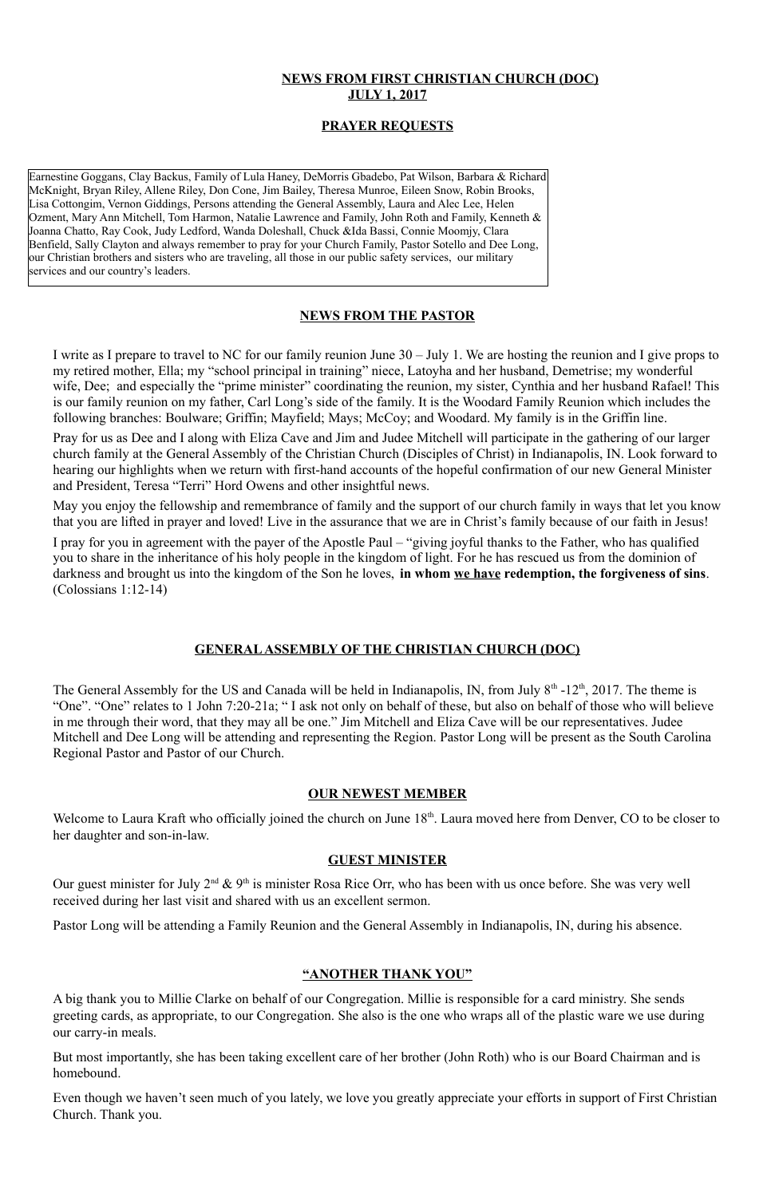# **NEWS FROM FIRST CHRISTIAN CHURCH (DOC) JULY 1, 2017**

## **PRAYER REQUESTS**

## **NEWS FROM THE PASTOR**

I write as I prepare to travel to NC for our family reunion June 30 – July 1. We are hosting the reunion and I give props to my retired mother, Ella; my "school principal in training" niece, Latoyha and her husband, Demetrise; my wonderful wife, Dee; and especially the "prime minister" coordinating the reunion, my sister, Cynthia and her husband Rafael! This is our family reunion on my father, Carl Long's side of the family. It is the Woodard Family Reunion which includes the following branches: Boulware; Griffin; Mayfield; Mays; McCoy; and Woodard. My family is in the Griffin line.

Pray for us as Dee and I along with Eliza Cave and Jim and Judee Mitchell will participate in the gathering of our larger church family at the General Assembly of the Christian Church (Disciples of Christ) in Indianapolis, IN. Look forward to hearing our highlights when we return with first-hand accounts of the hopeful confirmation of our new General Minister and President, Teresa "Terri" Hord Owens and other insightful news.

The General Assembly for the US and Canada will be held in Indianapolis, IN, from July  $8<sup>th</sup>$  -12<sup>th</sup>, 2017. The theme is "One". "One" relates to 1 John 7:20-21a; " I ask not only on behalf of these, but also on behalf of those who will believe in me through their word, that they may all be one." Jim Mitchell and Eliza Cave will be our representatives. Judee Mitchell and Dee Long will be attending and representing the Region. Pastor Long will be present as the South Carolina Regional Pastor and Pastor of our Church.

Welcome to Laura Kraft who officially joined the church on June 18<sup>th</sup>. Laura moved here from Denver, CO to be closer to her daughter and son-in-law.

May you enjoy the fellowship and remembrance of family and the support of our church family in ways that let you know that you are lifted in prayer and loved! Live in the assurance that we are in Christ's family because of our faith in Jesus!

Our guest minister for July  $2^{nd}$  &  $9^{th}$  is minister Rosa Rice Orr, who has been with us once before. She was very well received during her last visit and shared with us an excellent sermon.

I pray for you in agreement with the payer of the Apostle Paul – "giving joyful thanks to the Father, who has qualified you to share in the inheritance of his holy people in the kingdom of light. For he has rescued us from the dominion of darkness and brought us into the kingdom of the Son he loves, **in whom we have redemption, the forgiveness of sins**. (Colossians 1:12-14)

Earnestine Goggans, Clay Backus, Family of Lula Haney, DeMorris Gbadebo, Pat Wilson, Barbara & Richard McKnight, Bryan Riley, Allene Riley, Don Cone, Jim Bailey, Theresa Munroe, Eileen Snow, Robin Brooks, Lisa Cottongim, Vernon Giddings, Persons attending the General Assembly, Laura and Alec Lee, Helen Ozment, Mary Ann Mitchell, Tom Harmon, Natalie Lawrence and Family, John Roth and Family, Kenneth & Joanna Chatto, Ray Cook, Judy Ledford, Wanda Doleshall, Chuck &Ida Bassi, Connie Moomjy, Clara Benfield, Sally Clayton and always remember to pray for your Church Family, Pastor Sotello and Dee Long, our Christian brothers and sisters who are traveling, all those in our public safety services, our military services and our country's leaders.

### **GENERAL ASSEMBLY OF THE CHRISTIAN CHURCH (DOC)**

#### **OUR NEWEST MEMBER**

#### **GUEST MINISTER**

Pastor Long will be attending a Family Reunion and the General Assembly in Indianapolis, IN, during his absence.

## **"ANOTHER THANK YOU"**

A big thank you to Millie Clarke on behalf of our Congregation. Millie is responsible for a card ministry. She sends greeting cards, as appropriate, to our Congregation. She also is the one who wraps all of the plastic ware we use during our carry-in meals.

But most importantly, she has been taking excellent care of her brother (John Roth) who is our Board Chairman and is homebound.

Even though we haven't seen much of you lately, we love you greatly appreciate your efforts in support of First Christian Church. Thank you.